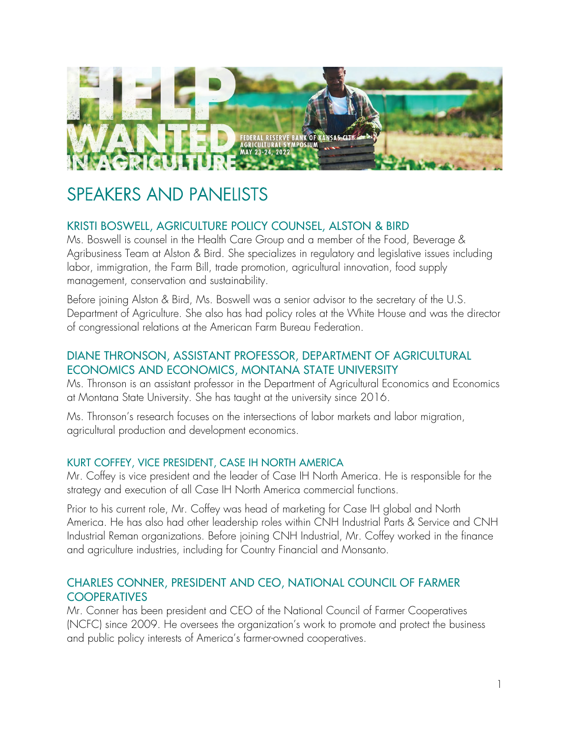

# SPEAKERS AND PANELISTS

# KRISTI BOSWELL, AGRICULTURE POLICY COUNSEL, ALSTON & BIRD

Ms. Boswell is counsel in the Health Care Group and a member of the Food, Beverage & Agribusiness Team at Alston & Bird. She specializes in regulatory and legislative issues including labor, immigration, the Farm Bill, trade promotion, agricultural innovation, food supply management, conservation and sustainability.

Before joining Alston & Bird, Ms. Boswell was a senior advisor to the secretary of the U.S. Department of Agriculture. She also has had policy roles at the White House and was the director of congressional relations at the American Farm Bureau Federation.

# DIANE THRONSON, ASSISTANT PROFESSOR, DEPARTMENT OF AGRICULTURAL ECONOMICS AND ECONOMICS, MONTANA STATE UNIVERSITY

Ms. Thronson is an assistant professor in the Department of Agricultural Economics and Economics at Montana State University. She has taught at the university since 2016.

Ms. Thronson's research focuses on the intersections of labor markets and labor migration, agricultural production and development economics.

#### KURT COFFEY, VICE PRESIDENT, CASE IH NORTH AMERICA

Mr. Coffey is vice president and the leader of Case IH North America. He is responsible for the strategy and execution of all Case IH North America commercial functions.

Prior to his current role, Mr. Coffey was head of marketing for Case IH global and North America. He has also had other leadership roles within CNH Industrial Parts & Service and CNH Industrial Reman organizations. Before joining CNH Industrial, Mr. Coffey worked in the finance and agriculture industries, including for Country Financial and Monsanto.

#### CHARLES CONNER, PRESIDENT AND CEO, NATIONAL COUNCIL OF FARMER **COOPERATIVES**

Mr. Conner has been president and CEO of the National Council of Farmer Cooperatives (NCFC) since 2009. He oversees the organization's work to promote and protect the business and public policy interests of America's farmer-owned cooperatives.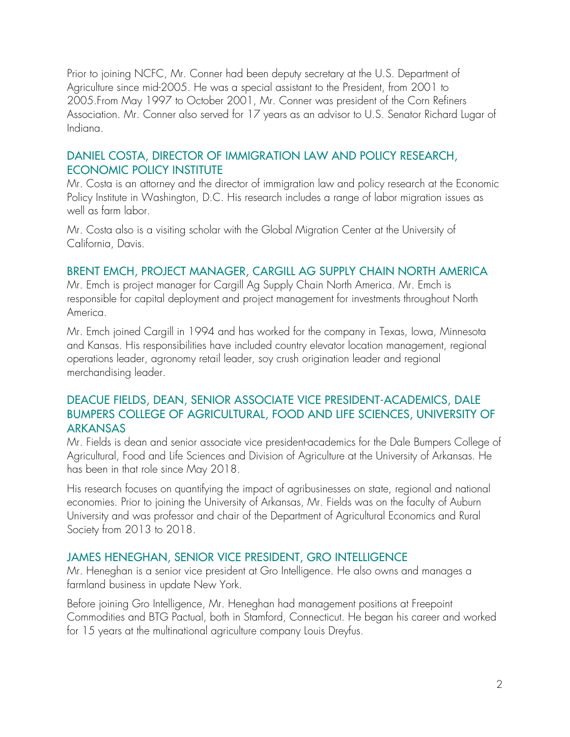Prior to joining NCFC, Mr. Conner had been deputy secretary at the U.S. Department of Agriculture since mid-2005. He was a special assistant to the President, from 2001 to 2005.From May 1997 to October 2001, Mr. Conner was president of the Corn Refiners Association. Mr. Conner also served for 17 years as an advisor to U.S. Senator Richard Lugar of Indiana.

# DANIEL COSTA, DIRECTOR OF IMMIGRATION LAW AND POLICY RESEARCH, ECONOMIC POLICY INSTITUTE

Mr. Costa is an attorney and the director of immigration law and policy research at the Economic Policy Institute in Washington, D.C. His research includes a range of labor migration issues as well as farm labor.

Mr. Costa also is a visiting scholar with the Global Migration Center at the University of California, Davis.

# BRENT EMCH, PROJECT MANAGER, CARGILL AG SUPPLY CHAIN NORTH AMERICA

Mr. Emch is project manager for Cargill Ag Supply Chain North America. Mr. Emch is responsible for capital deployment and project management for investments throughout North America.

Mr. Emch joined Cargill in 1994 and has worked for the company in Texas, Iowa, Minnesota and Kansas. His responsibilities have included country elevator location management, regional operations leader, agronomy retail leader, soy crush origination leader and regional merchandising leader.

# DEACUE FIELDS, DEAN, SENIOR ASSOCIATE VICE PRESIDENT-ACADEMICS, DALE BUMPERS COLLEGE OF AGRICULTURAL, FOOD AND LIFE SCIENCES, UNIVERSITY OF ARKANSAS

Mr. Fields is dean and senior associate vice president-academics for the Dale Bumpers College of Agricultural, Food and Life Sciences and Division of Agriculture at the University of Arkansas. He has been in that role since May 2018.

His research focuses on quantifying the impact of agribusinesses on state, regional and national economies. Prior to joining the University of Arkansas, Mr. Fields was on the faculty of Auburn University and was professor and chair of the Department of Agricultural Economics and Rural Society from 2013 to 2018.

# JAMES HENEGHAN, SENIOR VICE PRESIDENT, GRO INTELLIGENCE

Mr. Heneghan is a senior vice president at Gro Intelligence. He also owns and manages a farmland business in update New York.

Before joining Gro Intelligence, Mr. Heneghan had management positions at Freepoint Commodities and BTG Pactual, both in Stamford, Connecticut. He began his career and worked for 15 years at the multinational agriculture company Louis Dreyfus.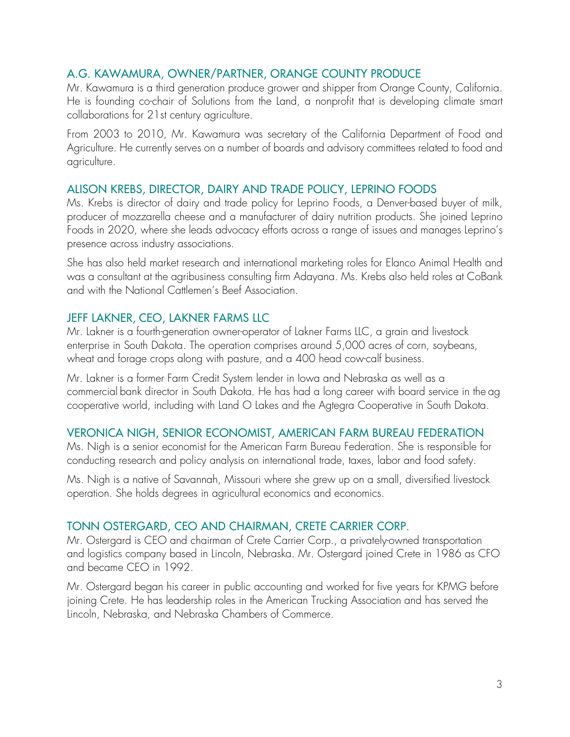#### A.G. KAWAMURA, OWNER/PARTNER, ORANGE COUNTY PRODUCE

Mr. Kawamura is a third generation produce grower and shipper from Orange County, California. He is founding co-chair of Solutions from the Land, a nonprofit that is developing climate smart collaborations for 21st century agriculture.

From 2003 to 2010, Mr. Kawamura was secretary of the California Department of Food and Agriculture. He currently serves on a number of boards and advisory committees related to food and agriculture.

#### ALISON KREBS, DIRECTOR, DAIRY AND TRADE POLICY, LEPRINO FOODS

Ms. Krebs is director of dairy and trade policy for Leprino Foods, a Denver-based buyer of milk, producer of mozzarella cheese and a manufacturer of dairy nutrition products. She joined Leprino Foods in 2020, where she leads advocacy efforts across a range of issues and manages Leprino's presence across industry associations.

She has also held market research and international marketing roles for Elanco Animal Health and was a consultant at the agribusiness consulting firm Adayana. Ms. Krebs also held roles at CoBank and with the National Cattlemen's Beef Association.

#### JEFF LAKNER, CEO, LAKNER FARMS LLC

Mr. Lakner is a fourth-generation owner-operator of Lakner Farms LLC, a grain and livestock enterprise in South Dakota. The operation comprises around 5,000 acres of corn, soybeans, wheat and forage crops along with pasture, and a 400 head cow-calf business.

Mr. Lakner is a former Farm Credit System lender in Iowa and Nebraska as well as a commercial bank director in South Dakota. He has had a long career with board service in the ag cooperative world, including with Land O Lakes and the Agtegra Cooperative in South Dakota.

#### VERONICA NIGH, SENIOR ECONOMIST, AMERICAN FARM BUREAU FEDERATION

Ms. Nigh is a senior economist for the American Farm Bureau Federation. She is responsible for conducting research and policy analysis on international trade, taxes, labor and food safety.

Ms. Nigh is a native of Savannah, Missouri where she grew up on a small, diversified livestock operation. She holds degrees in agricultural economics and economics.

#### TONN OSTERGARD, CEO AND CHAIRMAN, CRETE CARRIER CORP.

Mr. Ostergard is CEO and chairman of Crete Carrier Corp., a privately-owned transportation and logistics company based in Lincoln, Nebraska. Mr. Ostergard joined Crete in 1986 as CFO and became CEO in 1992.

Mr. Ostergard began his career in public accounting and worked for five years for KPMG before joining Crete. He has leadership roles in the American Trucking Association and has served the Lincoln, Nebraska, and Nebraska Chambers of Commerce.